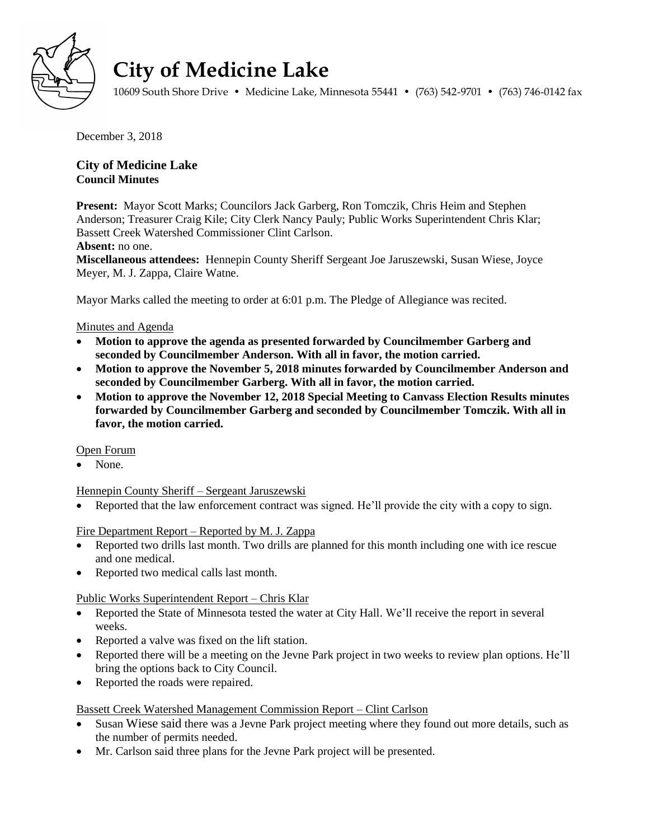

# **City of Medicine Lake**

10609 South Shore Drive • Medicine Lake, Minnesota 55441 • (763) 542-9701 • (763) 746-0142 fax

December 3, 2018

## **City of Medicine Lake Council Minutes**

**Present:** Mayor Scott Marks; Councilors Jack Garberg, Ron Tomczik, Chris Heim and Stephen Anderson; Treasurer Craig Kile; City Clerk Nancy Pauly; Public Works Superintendent Chris Klar; Bassett Creek Watershed Commissioner Clint Carlson.

## **Absent:** no one.

**Miscellaneous attendees:** Hennepin County Sheriff Sergeant Joe Jaruszewski, Susan Wiese, Joyce Meyer, M. J. Zappa, Claire Watne.

Mayor Marks called the meeting to order at 6:01 p.m. The Pledge of Allegiance was recited.

## Minutes and Agenda

- **Motion to approve the agenda as presented forwarded by Councilmember Garberg and seconded by Councilmember Anderson. With all in favor, the motion carried.**
- **Motion to approve the November 5, 2018 minutes forwarded by Councilmember Anderson and seconded by Councilmember Garberg. With all in favor, the motion carried.**
- **Motion to approve the November 12, 2018 Special Meeting to Canvass Election Results minutes forwarded by Councilmember Garberg and seconded by Councilmember Tomczik. With all in favor, the motion carried.**

## Open Forum

• None.

## Hennepin County Sheriff – Sergeant Jaruszewski

• Reported that the law enforcement contract was signed. He'll provide the city with a copy to sign.

## Fire Department Report – Reported by M. J. Zappa

- Reported two drills last month. Two drills are planned for this month including one with ice rescue and one medical.
- Reported two medical calls last month.

## Public Works Superintendent Report – Chris Klar

- Reported the State of Minnesota tested the water at City Hall. We'll receive the report in several weeks.
- Reported a valve was fixed on the lift station.
- Reported there will be a meeting on the Jevne Park project in two weeks to review plan options. He'll bring the options back to City Council.
- Reported the roads were repaired.

## Bassett Creek Watershed Management Commission Report – Clint Carlson

- Susan Wiese said there was a Jevne Park project meeting where they found out more details, such as the number of permits needed.
- Mr. Carlson said three plans for the Jevne Park project will be presented.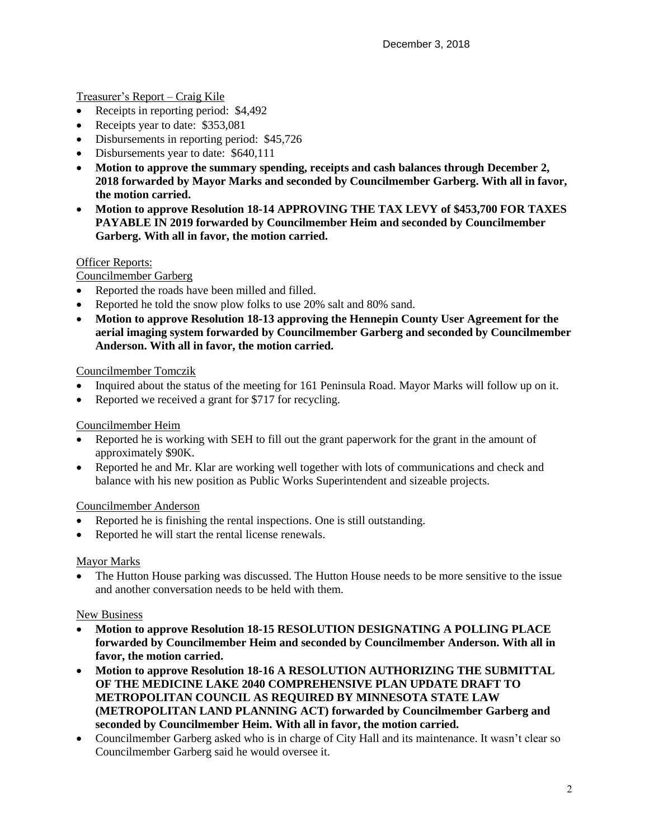## Treasurer's Report – Craig Kile

- Receipts in reporting period: \$4,492
- Receipts year to date: \$353,081
- Disbursements in reporting period: \$45,726
- Disbursements year to date: \$640,111
- **Motion to approve the summary spending, receipts and cash balances through December 2, 2018 forwarded by Mayor Marks and seconded by Councilmember Garberg. With all in favor, the motion carried.**
- **Motion to approve Resolution 18-14 APPROVING THE TAX LEVY of \$453,700 FOR TAXES PAYABLE IN 2019 forwarded by Councilmember Heim and seconded by Councilmember Garberg. With all in favor, the motion carried.**

## Officer Reports:

## Councilmember Garberg

- Reported the roads have been milled and filled.
- Reported he told the snow plow folks to use 20% salt and 80% sand.
- **Motion to approve Resolution 18-13 approving the Hennepin County User Agreement for the aerial imaging system forwarded by Councilmember Garberg and seconded by Councilmember Anderson. With all in favor, the motion carried.**

## Councilmember Tomczik

- Inquired about the status of the meeting for 161 Peninsula Road. Mayor Marks will follow up on it.
- Reported we received a grant for \$717 for recycling.

## Councilmember Heim

- Reported he is working with SEH to fill out the grant paperwork for the grant in the amount of approximately \$90K.
- Reported he and Mr. Klar are working well together with lots of communications and check and balance with his new position as Public Works Superintendent and sizeable projects.

## Councilmember Anderson

- Reported he is finishing the rental inspections. One is still outstanding.
- Reported he will start the rental license renewals.

#### Mayor Marks

• The Hutton House parking was discussed. The Hutton House needs to be more sensitive to the issue and another conversation needs to be held with them.

## New Business

- **Motion to approve Resolution 18-15 RESOLUTION DESIGNATING A POLLING PLACE forwarded by Councilmember Heim and seconded by Councilmember Anderson. With all in favor, the motion carried.**
- **Motion to approve Resolution 18-16 A RESOLUTION AUTHORIZING THE SUBMITTAL OF THE MEDICINE LAKE 2040 COMPREHENSIVE PLAN UPDATE DRAFT TO METROPOLITAN COUNCIL AS REQUIRED BY MINNESOTA STATE LAW (METROPOLITAN LAND PLANNING ACT) forwarded by Councilmember Garberg and seconded by Councilmember Heim. With all in favor, the motion carried.**
- Councilmember Garberg asked who is in charge of City Hall and its maintenance. It wasn't clear so Councilmember Garberg said he would oversee it.